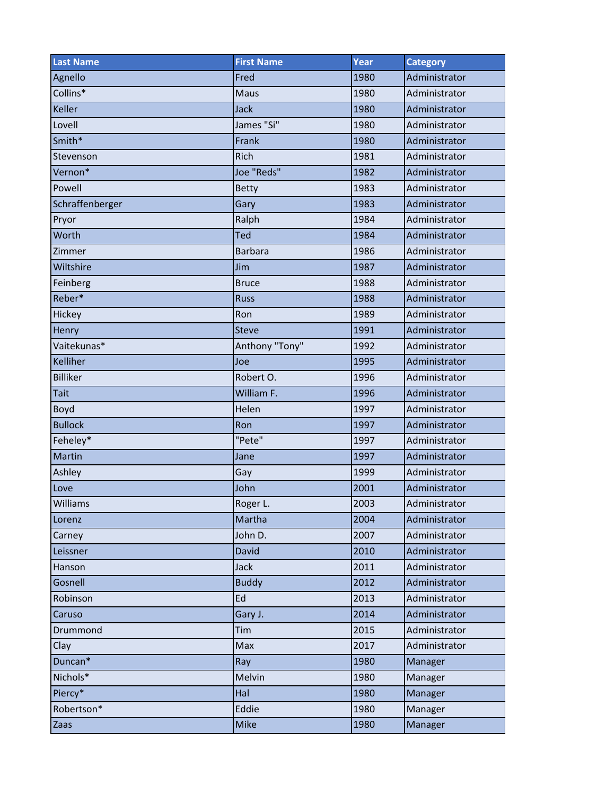| <b>Last Name</b> | <b>First Name</b> | Year | <b>Category</b> |
|------------------|-------------------|------|-----------------|
| Agnello          | Fred              | 1980 | Administrator   |
| Collins*         | <b>Maus</b>       | 1980 | Administrator   |
| Keller           | Jack              | 1980 | Administrator   |
| Lovell           | James "Si"        | 1980 | Administrator   |
| Smith*           | Frank             | 1980 | Administrator   |
| Stevenson        | Rich              | 1981 | Administrator   |
| Vernon*          | Joe "Reds"        | 1982 | Administrator   |
| Powell           | <b>Betty</b>      | 1983 | Administrator   |
| Schraffenberger  | Gary              | 1983 | Administrator   |
| Pryor            | Ralph             | 1984 | Administrator   |
| Worth            | Ted               | 1984 | Administrator   |
| Zimmer           | <b>Barbara</b>    | 1986 | Administrator   |
| Wiltshire        | Jim               | 1987 | Administrator   |
| Feinberg         | <b>Bruce</b>      | 1988 | Administrator   |
| Reber*           | <b>Russ</b>       | 1988 | Administrator   |
| Hickey           | Ron               | 1989 | Administrator   |
| Henry            | <b>Steve</b>      | 1991 | Administrator   |
| Vaitekunas*      | Anthony "Tony"    | 1992 | Administrator   |
| Kelliher         | Joe               | 1995 | Administrator   |
| <b>Billiker</b>  | Robert O.         | 1996 | Administrator   |
| <b>Tait</b>      | William F.        | 1996 | Administrator   |
| Boyd             | Helen             | 1997 | Administrator   |
| <b>Bullock</b>   | Ron               | 1997 | Administrator   |
| Feheley*         | "Pete"            | 1997 | Administrator   |
| Martin           | Jane              | 1997 | Administrator   |
| Ashley           | Gay               | 1999 | Administrator   |
| Love             | John              | 2001 | Administrator   |
| Williams         | Roger L.          | 2003 | Administrator   |
| Lorenz           | Martha            | 2004 | Administrator   |
| Carney           | John D.           | 2007 | Administrator   |
| Leissner         | David             | 2010 | Administrator   |
| Hanson           | <b>Jack</b>       | 2011 | Administrator   |
| Gosnell          | <b>Buddy</b>      | 2012 | Administrator   |
| Robinson         | Ed                | 2013 | Administrator   |
| Caruso           | Gary J.           | 2014 | Administrator   |
| Drummond         | Tim               | 2015 | Administrator   |
| Clay             | Max               | 2017 | Administrator   |
| Duncan*          | Ray               | 1980 | Manager         |
| Nichols*         | Melvin            | 1980 | Manager         |
| Piercy*          | Hal               | 1980 | Manager         |
| Robertson*       | Eddie             | 1980 | Manager         |
| Zaas             | Mike              | 1980 | Manager         |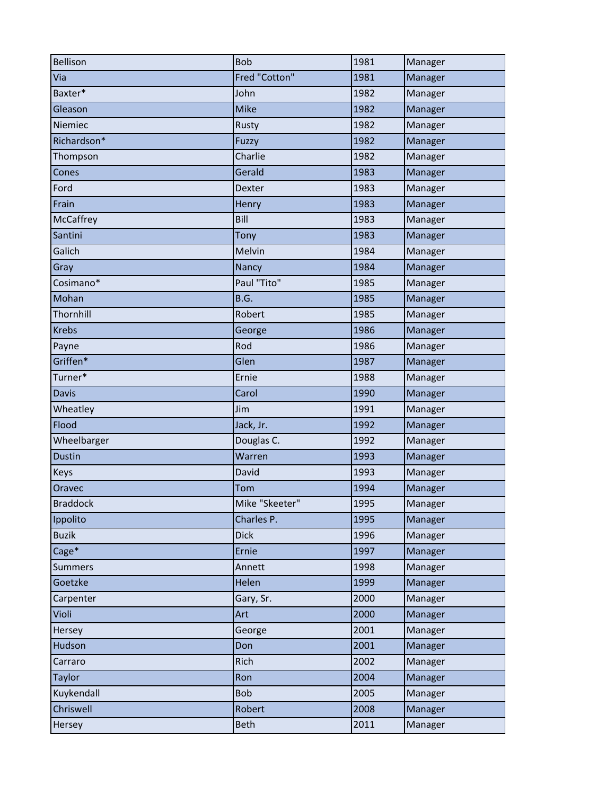| <b>Bellison</b> | <b>Bob</b>     | 1981 | Manager |
|-----------------|----------------|------|---------|
| Via             | Fred "Cotton"  | 1981 | Manager |
| Baxter*         | John           | 1982 | Manager |
| Gleason         | <b>Mike</b>    | 1982 | Manager |
| Niemiec         | Rusty          | 1982 | Manager |
| Richardson*     | Fuzzy          | 1982 | Manager |
| Thompson        | Charlie        | 1982 | Manager |
| Cones           | Gerald         | 1983 | Manager |
| Ford            | Dexter         | 1983 | Manager |
| Frain           | Henry          | 1983 | Manager |
| McCaffrey       | Bill           | 1983 | Manager |
| Santini         | Tony           | 1983 | Manager |
| Galich          | Melvin         | 1984 | Manager |
| Gray            | Nancy          | 1984 | Manager |
| Cosimano*       | Paul "Tito"    | 1985 | Manager |
| Mohan           | B.G.           | 1985 | Manager |
| Thornhill       | Robert         | 1985 | Manager |
| <b>Krebs</b>    | George         | 1986 | Manager |
| Payne           | Rod            | 1986 | Manager |
| Griffen*        | Glen           | 1987 | Manager |
| Turner*         | Ernie          | 1988 | Manager |
| <b>Davis</b>    | Carol          | 1990 | Manager |
| Wheatley        | Jim            | 1991 | Manager |
| Flood           | Jack, Jr.      | 1992 | Manager |
| Wheelbarger     | Douglas C.     | 1992 | Manager |
| <b>Dustin</b>   | Warren         | 1993 | Manager |
| Keys            | David          | 1993 | Manager |
| Oravec          | Tom            | 1994 | Manager |
| <b>Braddock</b> | Mike "Skeeter" | 1995 | Manager |
| Ippolito        | Charles P.     | 1995 | Manager |
| <b>Buzik</b>    | <b>Dick</b>    | 1996 | Manager |
| Cage*           | Ernie          | 1997 | Manager |
| <b>Summers</b>  | Annett         | 1998 | Manager |
| Goetzke         | Helen          | 1999 | Manager |
| Carpenter       | Gary, Sr.      | 2000 | Manager |
| Violi           | Art            | 2000 | Manager |
| Hersey          | George         | 2001 | Manager |
| Hudson          | Don            | 2001 | Manager |
| Carraro         | Rich           | 2002 | Manager |
| Taylor          | Ron            | 2004 | Manager |
| Kuykendall      | <b>Bob</b>     | 2005 | Manager |
| Chriswell       | Robert         | 2008 | Manager |
| Hersey          | <b>Beth</b>    | 2011 | Manager |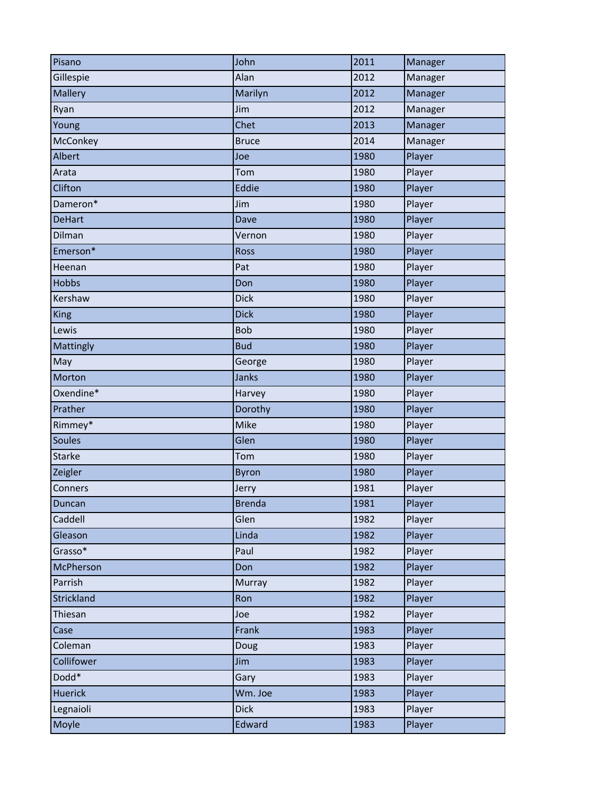| Pisano           | John          | 2011 | Manager |
|------------------|---------------|------|---------|
| Gillespie        | Alan          | 2012 | Manager |
| Mallery          | Marilyn       | 2012 | Manager |
| Ryan             | Jim           | 2012 | Manager |
| Young            | Chet          | 2013 | Manager |
| McConkey         | <b>Bruce</b>  | 2014 | Manager |
| Albert           | Joe           | 1980 | Player  |
| Arata            | Tom           | 1980 | Player  |
| Clifton          | Eddie         | 1980 | Player  |
| Dameron*         | Jim           | 1980 | Player  |
| <b>DeHart</b>    | Dave          | 1980 | Player  |
| Dilman           | Vernon        | 1980 | Player  |
| Emerson*         | Ross          | 1980 | Player  |
| Heenan           | Pat           | 1980 | Player  |
| <b>Hobbs</b>     | Don           | 1980 | Player  |
| Kershaw          | <b>Dick</b>   | 1980 | Player  |
| <b>King</b>      | <b>Dick</b>   | 1980 | Player  |
| Lewis            | <b>Bob</b>    | 1980 | Player  |
| Mattingly        | <b>Bud</b>    | 1980 | Player  |
| May              | George        | 1980 | Player  |
| Morton           | Janks         | 1980 | Player  |
| Oxendine*        | Harvey        | 1980 | Player  |
| Prather          | Dorothy       | 1980 | Player  |
| Rimmey*          | Mike          | 1980 | Player  |
| <b>Soules</b>    | Glen          | 1980 | Player  |
| <b>Starke</b>    | Tom           | 1980 | Player  |
| Zeigler          | <b>Byron</b>  | 1980 | Player  |
| Conners          | Jerry         | 1981 | Player  |
| Duncan           | <b>Brenda</b> | 1981 | Player  |
| Caddell          | Glen          | 1982 | Player  |
| Gleason          | Linda         | 1982 | Player  |
| Grasso*          | Paul          | 1982 | Player  |
| <b>McPherson</b> | Don           | 1982 | Player  |
| Parrish          | Murray        | 1982 | Player  |
| Strickland       | Ron           | 1982 | Player  |
| Thiesan          | Joe           | 1982 | Player  |
| Case             | Frank         | 1983 | Player  |
| Coleman          | Doug          | 1983 | Player  |
| Collifower       | Jim           | 1983 | Player  |
| Dodd*            | Gary          | 1983 | Player  |
| <b>Huerick</b>   | Wm. Joe       | 1983 | Player  |
| Legnaioli        | <b>Dick</b>   | 1983 | Player  |
| Moyle            | Edward        | 1983 | Player  |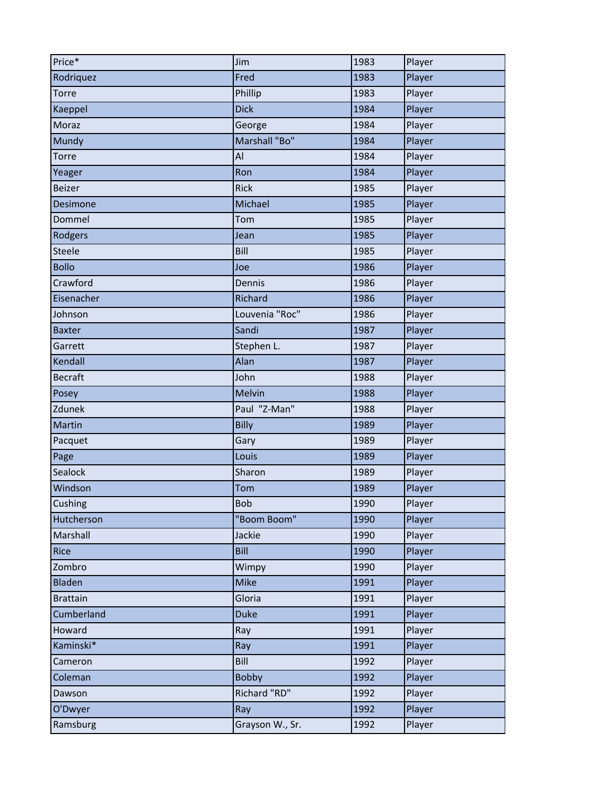| Price*          | Jim             | 1983 | Player |
|-----------------|-----------------|------|--------|
| Rodriquez       | Fred            | 1983 | Player |
| Torre           | Phillip         | 1983 | Player |
| Kaeppel         | <b>Dick</b>     | 1984 | Player |
| Moraz           | George          | 1984 | Player |
| Mundy           | Marshall "Bo"   | 1984 | Player |
| Torre           | Al              | 1984 | Player |
| Yeager          | Ron             | 1984 | Player |
| Beizer          | <b>Rick</b>     | 1985 | Player |
| Desimone        | Michael         | 1985 | Player |
| Dommel          | Tom             | 1985 | Player |
| Rodgers         | Jean            | 1985 | Player |
| Steele          | Bill            | 1985 | Player |
| <b>Bollo</b>    | Joe             | 1986 | Player |
| Crawford        | Dennis          | 1986 | Player |
| Eisenacher      | Richard         | 1986 | Player |
| Johnson         | Louvenia "Roc"  | 1986 | Player |
| <b>Baxter</b>   | Sandi           | 1987 | Player |
| Garrett         | Stephen L.      | 1987 | Player |
| Kendall         | Alan            | 1987 | Player |
| <b>Becraft</b>  | John            | 1988 | Player |
| Posey           | <b>Melvin</b>   | 1988 | Player |
| Zdunek          | Paul "Z-Man"    | 1988 | Player |
| Martin          | <b>Billy</b>    | 1989 | Player |
| Pacquet         | Gary            | 1989 | Player |
| Page            | Louis           | 1989 | Player |
| Sealock         | Sharon          | 1989 | Player |
| Windson         | Tom             | 1989 | Player |
| Cushing         | <b>Bob</b>      | 1990 | Player |
| Hutcherson      | "Boom Boom"     | 1990 | Player |
| Marshall        | Jackie          | 1990 | Player |
| Rice            | Bill            | 1990 | Player |
| Zombro          | Wimpy           | 1990 | Player |
| Bladen          | <b>Mike</b>     | 1991 | Player |
| <b>Brattain</b> | Gloria          | 1991 | Player |
| Cumberland      | <b>Duke</b>     | 1991 | Player |
| Howard          | Ray             | 1991 | Player |
| Kaminski*       | Ray             | 1991 | Player |
| Cameron         | Bill            | 1992 | Player |
| Coleman         | <b>Bobby</b>    | 1992 | Player |
| Dawson          | Richard "RD"    | 1992 | Player |
| O'Dwyer         | Ray             | 1992 | Player |
| Ramsburg        | Grayson W., Sr. | 1992 | Player |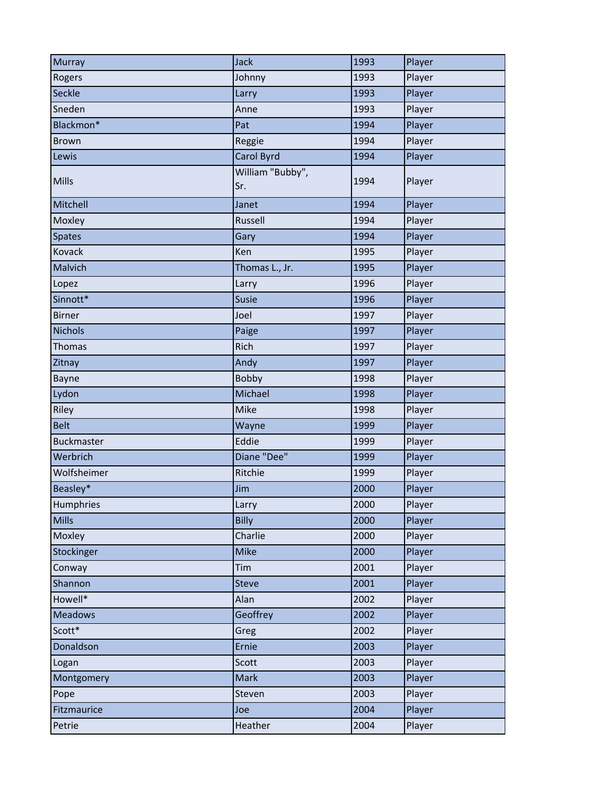| <b>Murray</b>     | <b>Jack</b>             | 1993 | Player |
|-------------------|-------------------------|------|--------|
| Rogers            | Johnny                  | 1993 | Player |
| Seckle            | Larry                   | 1993 | Player |
| Sneden            | Anne                    | 1993 | Player |
| Blackmon*         | Pat                     | 1994 | Player |
| <b>Brown</b>      | Reggie                  | 1994 | Player |
| Lewis             | Carol Byrd              | 1994 | Player |
| Mills             | William "Bubby",<br>Sr. | 1994 | Player |
| Mitchell          | Janet                   | 1994 | Player |
| Moxley            | Russell                 | 1994 | Player |
| <b>Spates</b>     | Gary                    | 1994 | Player |
| Kovack            | Ken                     | 1995 | Player |
| Malvich           | Thomas L., Jr.          | 1995 | Player |
| Lopez             | Larry                   | 1996 | Player |
| Sinnott*          | Susie                   | 1996 | Player |
| <b>Birner</b>     | Joel                    | 1997 | Player |
| <b>Nichols</b>    | Paige                   | 1997 | Player |
| <b>Thomas</b>     | Rich                    | 1997 | Player |
| Zitnay            | Andy                    | 1997 | Player |
| Bayne             | Bobby                   | 1998 | Player |
| Lydon             | Michael                 | 1998 | Player |
| Riley             | Mike                    | 1998 | Player |
| <b>Belt</b>       | Wayne                   | 1999 | Player |
| <b>Buckmaster</b> | Eddie                   | 1999 | Player |
| Werbrich          | Diane "Dee"             | 1999 | Player |
| Wolfsheimer       | Ritchie                 | 1999 | Player |
| Beasley*          | Jim                     | 2000 | Player |
| Humphries         | Larry                   | 2000 | Player |
| <b>Mills</b>      | <b>Billy</b>            | 2000 | Player |
| Moxley            | Charlie                 | 2000 | Player |
| Stockinger        | <b>Mike</b>             | 2000 | Player |
| Conway            | Tim                     | 2001 | Player |
| Shannon           | <b>Steve</b>            | 2001 | Player |
| Howell*           | Alan                    | 2002 | Player |
| <b>Meadows</b>    | Geoffrey                | 2002 | Player |
| Scott*            | Greg                    | 2002 | Player |
| Donaldson         | Ernie                   | 2003 | Player |
| Logan             | Scott                   | 2003 | Player |
| Montgomery        | <b>Mark</b>             | 2003 | Player |
| Pope              | Steven                  | 2003 | Player |
| Fitzmaurice       | Joe                     | 2004 | Player |
| Petrie            | Heather                 | 2004 | Player |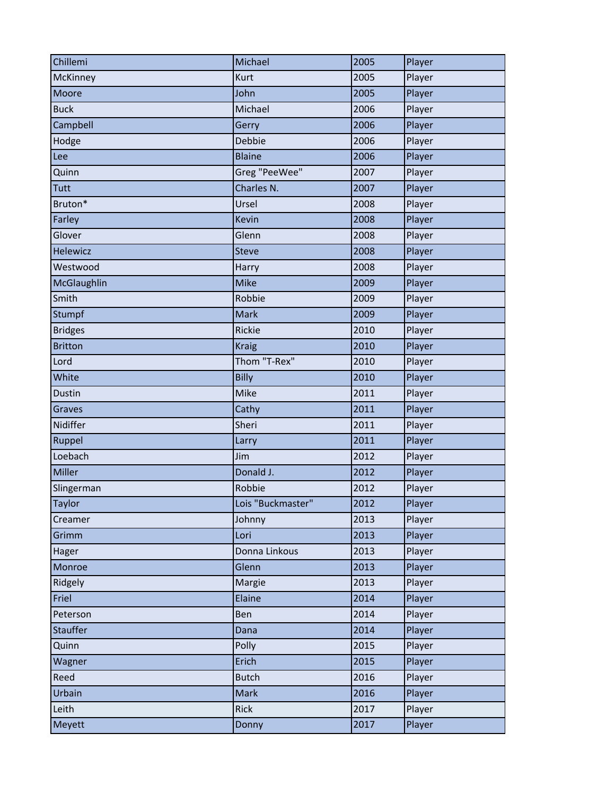| Chillemi        | Michael           | 2005 | Player |
|-----------------|-------------------|------|--------|
| McKinney        | Kurt              | 2005 | Player |
| Moore           | John              | 2005 | Player |
| <b>Buck</b>     | Michael           | 2006 | Player |
| Campbell        | Gerry             | 2006 | Player |
| Hodge           | Debbie            | 2006 | Player |
| Lee             | <b>Blaine</b>     | 2006 | Player |
| Quinn           | Greg "PeeWee"     | 2007 | Player |
| Tutt            | Charles N.        | 2007 | Player |
| Bruton*         | Ursel             | 2008 | Player |
| Farley          | Kevin             | 2008 | Player |
| Glover          | Glenn             | 2008 | Player |
| <b>Helewicz</b> | <b>Steve</b>      | 2008 | Player |
| Westwood        | Harry             | 2008 | Player |
| McGlaughlin     | <b>Mike</b>       | 2009 | Player |
| Smith           | Robbie            | 2009 | Player |
| Stumpf          | <b>Mark</b>       | 2009 | Player |
| <b>Bridges</b>  | Rickie            | 2010 | Player |
| <b>Britton</b>  | <b>Kraig</b>      | 2010 | Player |
| Lord            | Thom "T-Rex"      | 2010 | Player |
| White           | <b>Billy</b>      | 2010 | Player |
| Dustin          | Mike              | 2011 | Player |
| Graves          | Cathy             | 2011 | Player |
| Nidiffer        | Sheri             | 2011 | Player |
| Ruppel          | Larry             | 2011 | Player |
| Loebach         | Jim               | 2012 | Player |
| Miller          | Donald J.         | 2012 | Player |
| Slingerman      | Robbie            | 2012 | Player |
| <b>Taylor</b>   | Lois "Buckmaster" | 2012 | Player |
| Creamer         | Johnny            | 2013 | Player |
| Grimm           | Lori              | 2013 | Player |
| Hager           | Donna Linkous     | 2013 | Player |
| Monroe          | Glenn             | 2013 | Player |
| Ridgely         | Margie            | 2013 | Player |
| Friel           | Elaine            | 2014 | Player |
| Peterson        | Ben               | 2014 | Player |
| Stauffer        | Dana              | 2014 | Player |
| Quinn           | Polly             | 2015 | Player |
| Wagner          | Erich             | 2015 | Player |
| Reed            | <b>Butch</b>      | 2016 | Player |
| Urbain          | Mark              | 2016 | Player |
| Leith           | Rick              | 2017 | Player |
| Meyett          | Donny             | 2017 | Player |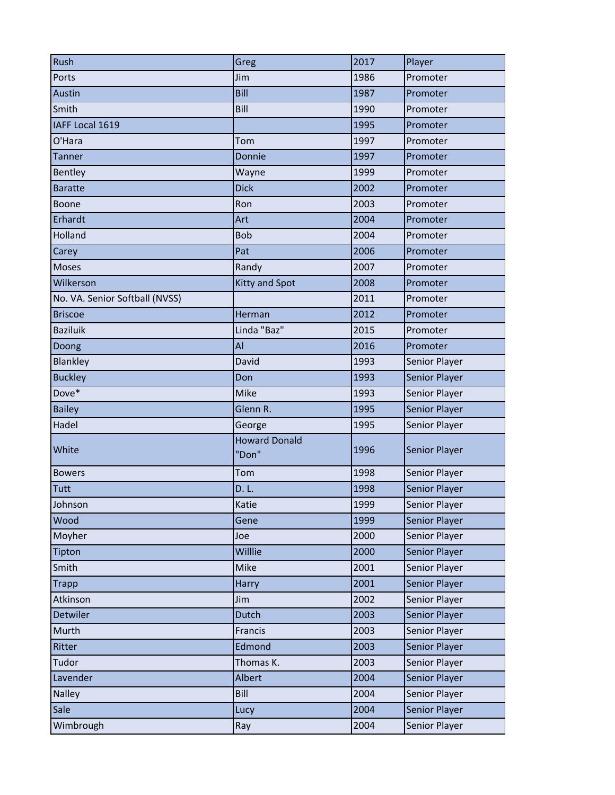| Rush                           | Greg                          | 2017 | Player        |
|--------------------------------|-------------------------------|------|---------------|
| Ports                          | Jim                           | 1986 | Promoter      |
| Austin                         | Bill                          | 1987 | Promoter      |
| Smith                          | Bill                          | 1990 | Promoter      |
| IAFF Local 1619                |                               | 1995 | Promoter      |
| O'Hara                         | Tom                           | 1997 | Promoter      |
| <b>Tanner</b>                  | Donnie                        | 1997 | Promoter      |
| Bentley                        | Wayne                         | 1999 | Promoter      |
| <b>Baratte</b>                 | <b>Dick</b>                   | 2002 | Promoter      |
| Boone                          | Ron                           | 2003 | Promoter      |
| Erhardt                        | Art                           | 2004 | Promoter      |
| Holland                        | <b>Bob</b>                    | 2004 | Promoter      |
| Carey                          | Pat                           | 2006 | Promoter      |
| Moses                          | Randy                         | 2007 | Promoter      |
| Wilkerson                      | <b>Kitty and Spot</b>         | 2008 | Promoter      |
| No. VA. Senior Softball (NVSS) |                               | 2011 | Promoter      |
| <b>Briscoe</b>                 | Herman                        | 2012 | Promoter      |
| <b>Baziluik</b>                | Linda "Baz"                   | 2015 | Promoter      |
| Doong                          | AI                            | 2016 | Promoter      |
| <b>Blankley</b>                | David                         | 1993 | Senior Player |
| <b>Buckley</b>                 | Don                           | 1993 | Senior Player |
| Dove*                          | Mike                          | 1993 | Senior Player |
| <b>Bailey</b>                  | Glenn R.                      | 1995 | Senior Player |
| Hadel                          | George                        | 1995 | Senior Player |
| White                          | <b>Howard Donald</b><br>"Don" | 1996 | Senior Player |
| <b>Bowers</b>                  | Tom                           | 1998 | Senior Player |
| Tutt                           | D. L.                         | 1998 | Senior Player |
| Johnson                        | Katie                         | 1999 | Senior Player |
| Wood                           | Gene                          | 1999 | Senior Player |
| Moyher                         | Joe                           | 2000 | Senior Player |
| Tipton                         | Willlie                       | 2000 | Senior Player |
| Smith                          | Mike                          | 2001 | Senior Player |
| <b>Trapp</b>                   | Harry                         | 2001 | Senior Player |
| Atkinson                       | Jim                           | 2002 | Senior Player |
| Detwiler                       | Dutch                         | 2003 | Senior Player |
| Murth                          | Francis                       | 2003 | Senior Player |
| Ritter                         | Edmond                        | 2003 | Senior Player |
| Tudor                          | Thomas K.                     | 2003 | Senior Player |
| Lavender                       | Albert                        | 2004 | Senior Player |
| <b>Nalley</b>                  | Bill                          | 2004 | Senior Player |
| Sale                           | Lucy                          | 2004 | Senior Player |
| Wimbrough                      | Ray                           | 2004 | Senior Player |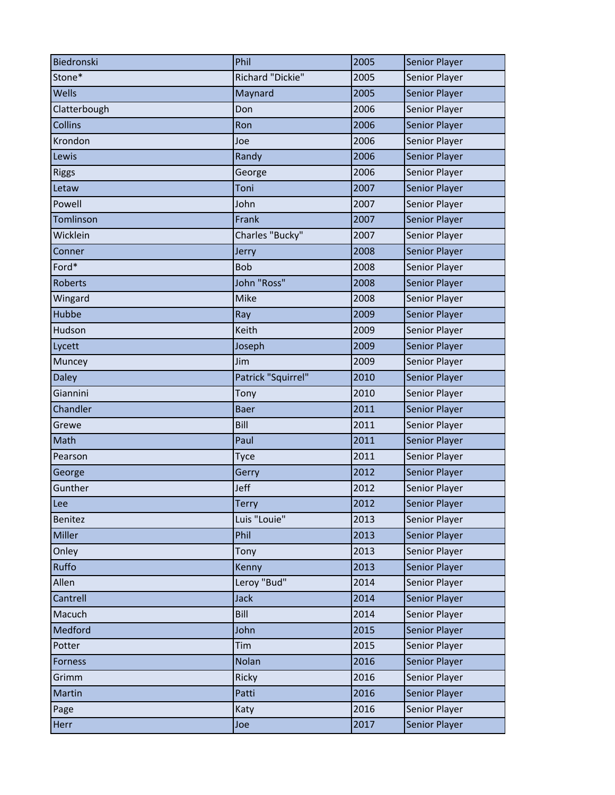| Biedronski     | Phil               | 2005 | <b>Senior Player</b> |
|----------------|--------------------|------|----------------------|
| Stone*         | Richard "Dickie"   | 2005 | Senior Player        |
| <b>Wells</b>   | Maynard            | 2005 | Senior Player        |
| Clatterbough   | Don                | 2006 | Senior Player        |
| Collins        | Ron                | 2006 | Senior Player        |
| Krondon        | Joe                | 2006 | Senior Player        |
| Lewis          | Randy              | 2006 | Senior Player        |
| <b>Riggs</b>   | George             | 2006 | Senior Player        |
| Letaw          | Toni               | 2007 | Senior Player        |
| Powell         | John               | 2007 | Senior Player        |
| Tomlinson      | Frank              | 2007 | Senior Player        |
| Wicklein       | Charles "Bucky"    | 2007 | Senior Player        |
| Conner         | Jerry              | 2008 | Senior Player        |
| Ford*          | <b>Bob</b>         | 2008 | Senior Player        |
| <b>Roberts</b> | John "Ross"        | 2008 | Senior Player        |
| Wingard        | Mike               | 2008 | Senior Player        |
| Hubbe          | Ray                | 2009 | Senior Player        |
| Hudson         | Keith              | 2009 | Senior Player        |
| Lycett         | Joseph             | 2009 | Senior Player        |
| Muncey         | Jim                | 2009 | Senior Player        |
| <b>Daley</b>   | Patrick "Squirrel" | 2010 | Senior Player        |
| Giannini       | Tony               | 2010 | Senior Player        |
| Chandler       | <b>Baer</b>        | 2011 | Senior Player        |
| Grewe          | Bill               | 2011 | Senior Player        |
| Math           | Paul               | 2011 | Senior Player        |
| Pearson        | Tyce               | 2011 | Senior Player        |
| George         | Gerry              | 2012 | Senior Player        |
| Gunther        | Jeff               | 2012 | Senior Player        |
| Lee            | Terry              | 2012 | <b>Senior Player</b> |
| Benitez        | Luis "Louie"       | 2013 | Senior Player        |
| Miller         | Phil               | 2013 | Senior Player        |
| Onley          | Tony               | 2013 | Senior Player        |
| Ruffo          | Kenny              | 2013 | Senior Player        |
| Allen          | Leroy "Bud"        | 2014 | Senior Player        |
| Cantrell       | <b>Jack</b>        | 2014 | Senior Player        |
| Macuch         | Bill               | 2014 | Senior Player        |
| Medford        | John               | 2015 | Senior Player        |
| Potter         | Tim                | 2015 | Senior Player        |
| <b>Forness</b> | Nolan              | 2016 | Senior Player        |
| Grimm          | Ricky              | 2016 | Senior Player        |
| Martin         | Patti              | 2016 | Senior Player        |
| Page           | Katy               | 2016 | Senior Player        |
| Herr           | Joe                | 2017 | Senior Player        |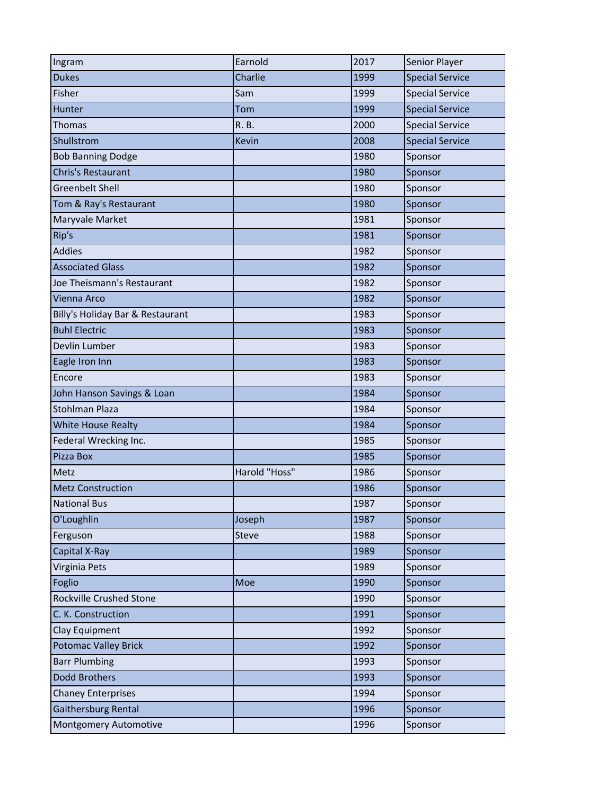| Ingram                           | Earnold       | 2017 | Senior Player          |
|----------------------------------|---------------|------|------------------------|
| <b>Dukes</b>                     | Charlie       | 1999 | <b>Special Service</b> |
| Fisher                           | Sam           | 1999 | <b>Special Service</b> |
| Hunter                           | Tom           | 1999 | <b>Special Service</b> |
| <b>Thomas</b>                    | R. B.         | 2000 | <b>Special Service</b> |
| Shullstrom                       | <b>Kevin</b>  | 2008 | <b>Special Service</b> |
| <b>Bob Banning Dodge</b>         |               | 1980 | Sponsor                |
| Chris's Restaurant               |               | 1980 | Sponsor                |
| <b>Greenbelt Shell</b>           |               | 1980 | Sponsor                |
| Tom & Ray's Restaurant           |               | 1980 | Sponsor                |
| Maryvale Market                  |               | 1981 | Sponsor                |
| Rip's                            |               | 1981 | Sponsor                |
| <b>Addies</b>                    |               | 1982 | Sponsor                |
| <b>Associated Glass</b>          |               | 1982 | Sponsor                |
| Joe Theismann's Restaurant       |               | 1982 | Sponsor                |
| Vienna Arco                      |               | 1982 | Sponsor                |
| Billy's Holiday Bar & Restaurant |               | 1983 | Sponsor                |
| <b>Buhl Electric</b>             |               | 1983 | Sponsor                |
| Devlin Lumber                    |               | 1983 | Sponsor                |
| Eagle Iron Inn                   |               | 1983 | Sponsor                |
| Encore                           |               | 1983 | Sponsor                |
| John Hanson Savings & Loan       |               | 1984 | Sponsor                |
| Stohlman Plaza                   |               | 1984 | Sponsor                |
| White House Realty               |               | 1984 | Sponsor                |
| Federal Wrecking Inc.            |               | 1985 | Sponsor                |
| Pizza Box                        |               | 1985 | Sponsor                |
| Metz                             | Harold "Hoss" | 1986 | Sponsor                |
| <b>Metz Construction</b>         |               | 1986 | Sponsor                |
| <b>National Bus</b>              |               | 1987 | Sponsor                |
| O'Loughlin                       | Joseph        | 1987 | Sponsor                |
| Ferguson                         | Steve         | 1988 | Sponsor                |
| Capital X-Ray                    |               | 1989 | Sponsor                |
| Virginia Pets                    |               | 1989 | Sponsor                |
| Foglio                           | Moe           | 1990 | Sponsor                |
| Rockville Crushed Stone          |               | 1990 | Sponsor                |
| C. K. Construction               |               | 1991 | Sponsor                |
| Clay Equipment                   |               | 1992 | Sponsor                |
| <b>Potomac Valley Brick</b>      |               | 1992 | Sponsor                |
| <b>Barr Plumbing</b>             |               | 1993 | Sponsor                |
| Dodd Brothers                    |               | 1993 | Sponsor                |
| <b>Chaney Enterprises</b>        |               | 1994 | Sponsor                |
| Gaithersburg Rental              |               | 1996 | Sponsor                |
| Montgomery Automotive            |               | 1996 | Sponsor                |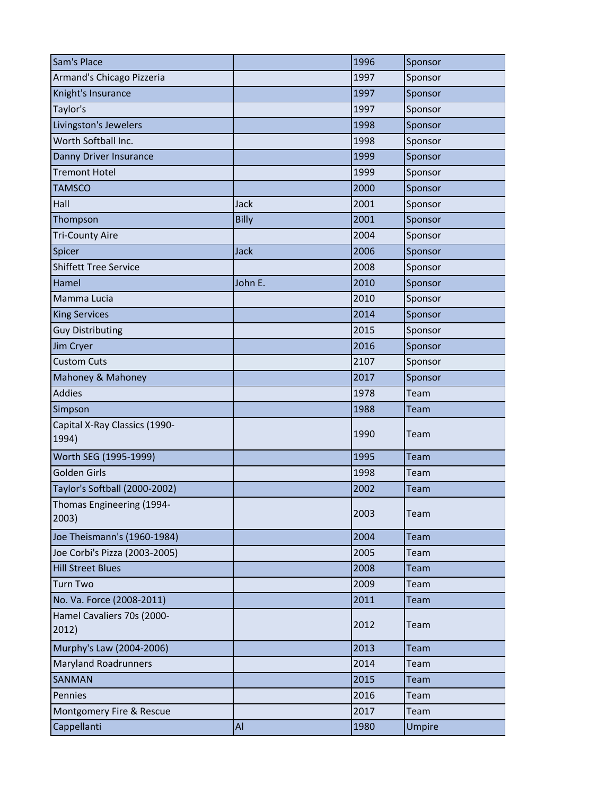| Sam's Place                            |         | 1996 | Sponsor |
|----------------------------------------|---------|------|---------|
| Armand's Chicago Pizzeria              |         | 1997 | Sponsor |
| Knight's Insurance                     |         | 1997 | Sponsor |
| Taylor's                               |         | 1997 | Sponsor |
| Livingston's Jewelers                  |         | 1998 | Sponsor |
| Worth Softball Inc.                    |         | 1998 | Sponsor |
| Danny Driver Insurance                 |         | 1999 | Sponsor |
| <b>Tremont Hotel</b>                   |         | 1999 | Sponsor |
| <b>TAMSCO</b>                          |         | 2000 | Sponsor |
| Hall                                   | Jack    | 2001 | Sponsor |
| Thompson                               | Billy   | 2001 | Sponsor |
| <b>Tri-County Aire</b>                 |         | 2004 | Sponsor |
| Spicer                                 | Jack    | 2006 | Sponsor |
| <b>Shiffett Tree Service</b>           |         | 2008 | Sponsor |
| Hamel                                  | John E. | 2010 | Sponsor |
| Mamma Lucia                            |         | 2010 | Sponsor |
| <b>King Services</b>                   |         | 2014 | Sponsor |
| <b>Guy Distributing</b>                |         | 2015 | Sponsor |
| Jim Cryer                              |         | 2016 | Sponsor |
| <b>Custom Cuts</b>                     |         | 2107 | Sponsor |
| Mahoney & Mahoney                      |         | 2017 | Sponsor |
| <b>Addies</b>                          |         | 1978 | Team    |
| Simpson                                |         | 1988 | Team    |
| Capital X-Ray Classics (1990-<br>1994) |         | 1990 | Team    |
| Worth SEG (1995-1999)                  |         | 1995 | Team    |
| Golden Girls                           |         | 1998 | Team    |
| Taylor's Softball (2000-2002)          |         | 2002 | Team    |
| Thomas Engineering (1994-<br>2003)     |         | 2003 | Team    |
| Joe Theismann's (1960-1984)            |         | 2004 | Team    |
| Joe Corbi's Pizza (2003-2005)          |         | 2005 | Team    |
| <b>Hill Street Blues</b>               |         | 2008 | Team    |
| <b>Turn Two</b>                        |         | 2009 | Team    |
| No. Va. Force (2008-2011)              |         | 2011 | Team    |
| Hamel Cavaliers 70s (2000-<br>2012)    |         | 2012 | Team    |
| Murphy's Law (2004-2006)               |         | 2013 | Team    |
| <b>Maryland Roadrunners</b>            |         | 2014 | Team    |
| SANMAN                                 |         | 2015 | Team    |
| Pennies                                |         | 2016 | Team    |
| Montgomery Fire & Rescue               |         | 2017 | Team    |
| Cappellanti                            | Al      | 1980 | Umpire  |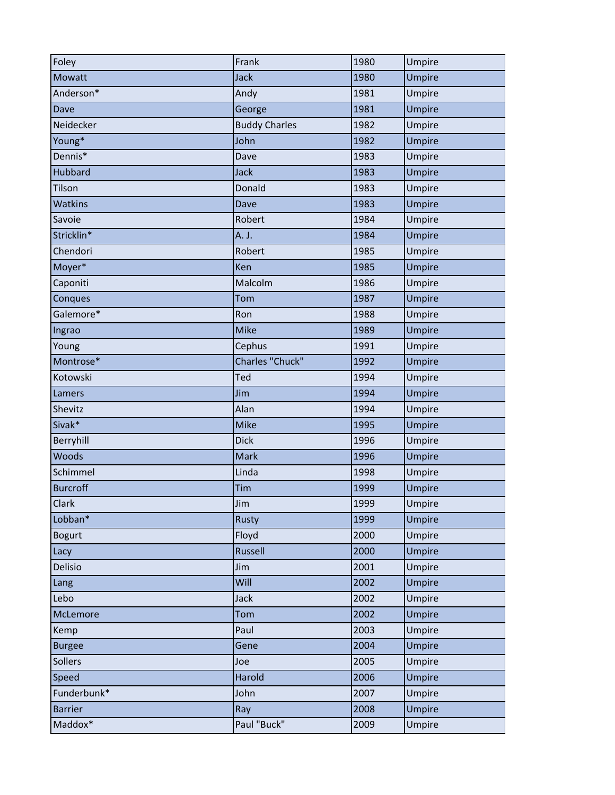| Foley           | Frank                | 1980 | Umpire        |
|-----------------|----------------------|------|---------------|
| Mowatt          | <b>Jack</b>          | 1980 | Umpire        |
| Anderson*       | Andy                 | 1981 | Umpire        |
| Dave            | George               | 1981 | <b>Umpire</b> |
| Neidecker       | <b>Buddy Charles</b> | 1982 | Umpire        |
| Young*          | John                 | 1982 | Umpire        |
| Dennis*         | Dave                 | 1983 | Umpire        |
| <b>Hubbard</b>  | <b>Jack</b>          | 1983 | Umpire        |
| Tilson          | Donald               | 1983 | Umpire        |
| <b>Watkins</b>  | Dave                 | 1983 | Umpire        |
| Savoie          | Robert               | 1984 | Umpire        |
| Stricklin*      | A. J.                | 1984 | Umpire        |
| Chendori        | Robert               | 1985 | Umpire        |
| Moyer*          | Ken                  | 1985 | Umpire        |
| Caponiti        | Malcolm              | 1986 | Umpire        |
| Conques         | Tom                  | 1987 | Umpire        |
| Galemore*       | Ron                  | 1988 | Umpire        |
| Ingrao          | <b>Mike</b>          | 1989 | Umpire        |
| Young           | Cephus               | 1991 | Umpire        |
| Montrose*       | Charles "Chuck"      | 1992 | Umpire        |
| Kotowski        | Ted                  | 1994 | Umpire        |
| Lamers          | Jim                  | 1994 | Umpire        |
| Shevitz         | Alan                 | 1994 | Umpire        |
| Sivak*          | <b>Mike</b>          | 1995 | Umpire        |
| Berryhill       | <b>Dick</b>          | 1996 | Umpire        |
| Woods           | <b>Mark</b>          | 1996 | Umpire        |
| Schimmel        | Linda                | 1998 | Umpire        |
| <b>Burcroff</b> | Tim                  | 1999 | Umpire        |
| Clark           | Jim                  | 1999 | Umpire        |
| Lobban*         | Rusty                | 1999 | Umpire        |
| <b>Bogurt</b>   | Floyd                | 2000 | Umpire        |
| Lacy            | Russell              | 2000 | Umpire        |
| Delisio         | Jim                  | 2001 | Umpire        |
| Lang            | Will                 | 2002 | Umpire        |
| Lebo            | Jack                 | 2002 | Umpire        |
| McLemore        | Tom                  | 2002 | Umpire        |
| Kemp            | Paul                 | 2003 | Umpire        |
| <b>Burgee</b>   | Gene                 | 2004 | <b>Umpire</b> |
| Sollers         | Joe                  | 2005 | Umpire        |
| Speed           | Harold               | 2006 | Umpire        |
| Funderbunk*     | John                 | 2007 | Umpire        |
| <b>Barrier</b>  | Ray                  | 2008 | Umpire        |
| Maddox*         | Paul "Buck"          | 2009 | Umpire        |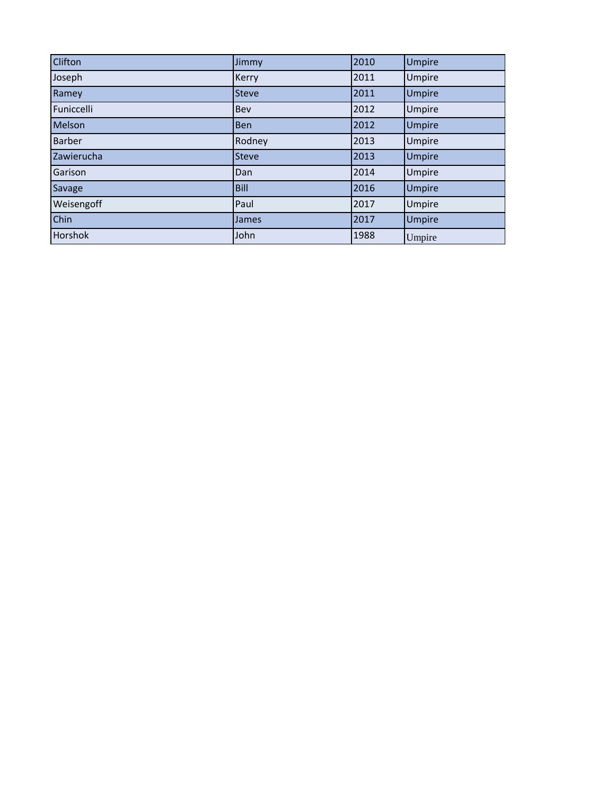| Clifton       | Jimmy        | 2010 | <b>Umpire</b> |
|---------------|--------------|------|---------------|
| Joseph        | Kerry        | 2011 | Umpire        |
| Ramey         | <b>Steve</b> | 2011 | Umpire        |
| Funiccelli    | Bev          | 2012 | Umpire        |
| Melson        | <b>Ben</b>   | 2012 | Umpire        |
| <b>Barber</b> | Rodney       | 2013 | Umpire        |
| Zawierucha    | <b>Steve</b> | 2013 | Umpire        |
| Garison       | Dan          | 2014 | Umpire        |
| Savage        | <b>Bill</b>  | 2016 | Umpire        |
| Weisengoff    | Paul         | 2017 | Umpire        |
| Chin          | James        | 2017 | Umpire        |
| Horshok       | John         | 1988 | Umpire        |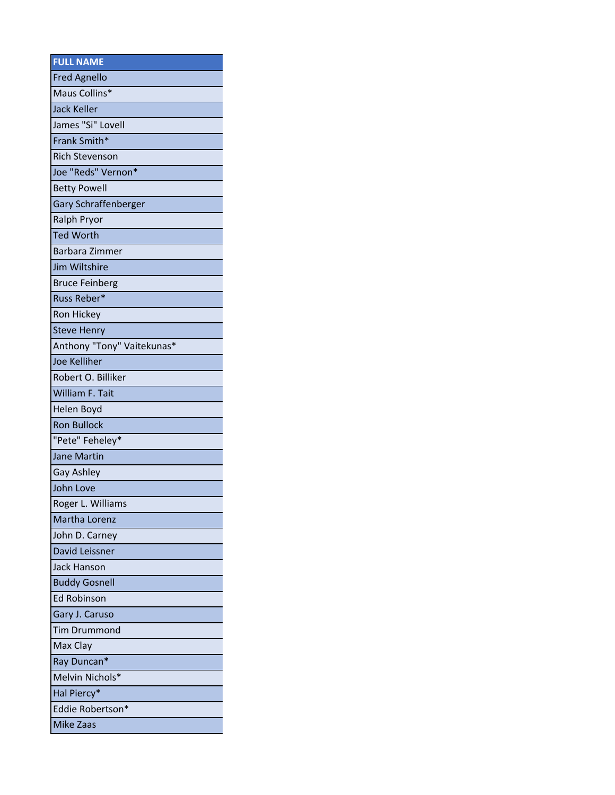| <b>FULL NAME</b>           |
|----------------------------|
| <b>Fred Agnello</b>        |
| Maus Collins*              |
| <b>Jack Keller</b>         |
| James "Si" Lovell          |
| Frank Smith*               |
| <b>Rich Stevenson</b>      |
| Joe "Reds" Vernon*         |
| <b>Betty Powell</b>        |
| Gary Schraffenberger       |
| Ralph Pryor                |
| <b>Ted Worth</b>           |
| Barbara Zimmer             |
| Jim Wiltshire              |
| <b>Bruce Feinberg</b>      |
| Russ Reber*                |
| Ron Hickey                 |
| <b>Steve Henry</b>         |
| Anthony "Tony" Vaitekunas* |
| <b>Joe Kelliher</b>        |
| Robert O. Billiker         |
| William F. Tait            |
| Helen Boyd                 |
| <b>Ron Bullock</b>         |
| "Pete" Feheley*            |
| <b>Jane Martin</b>         |
| Gay Ashley                 |
| John Love                  |
| Roger L. Williams          |
| Martha Lorenz              |
| John D. Carney             |
| David Leissner             |
| <b>Jack Hanson</b>         |
| <b>Buddy Gosnell</b>       |
| <b>Ed Robinson</b>         |
| Gary J. Caruso             |
| <b>Tim Drummond</b>        |
| Max Clay                   |
| Ray Duncan*                |
| Melvin Nichols*            |
| Hal Piercy*                |
| Eddie Robertson*           |
| <b>Mike Zaas</b>           |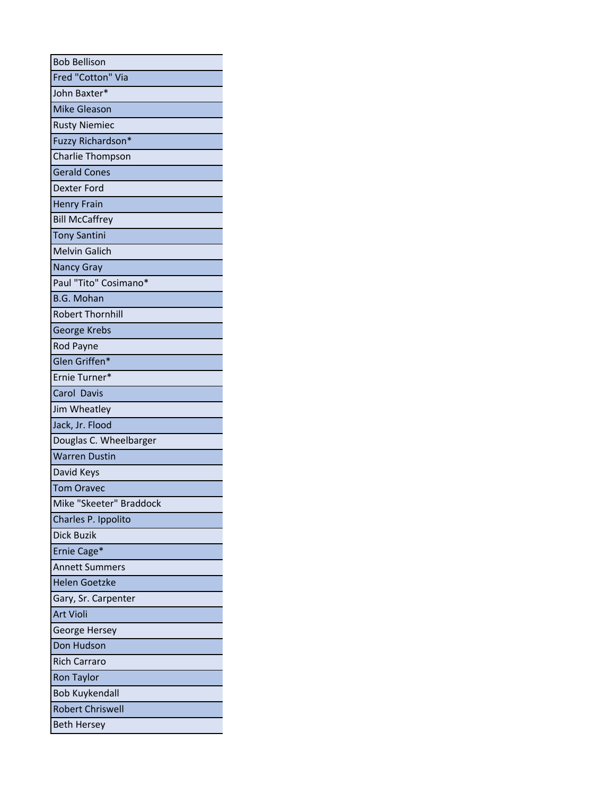| <b>Bob Bellison</b>     |
|-------------------------|
| Fred "Cotton" Via       |
| John Baxter*            |
| <b>Mike Gleason</b>     |
| <b>Rusty Niemiec</b>    |
| Fuzzy Richardson*       |
| Charlie Thompson        |
| <b>Gerald Cones</b>     |
| Dexter Ford             |
| <b>Henry Frain</b>      |
| <b>Bill McCaffrey</b>   |
| <b>Tony Santini</b>     |
| <b>Melvin Galich</b>    |
| <b>Nancy Gray</b>       |
| Paul "Tito" Cosimano*   |
| <b>B.G. Mohan</b>       |
| <b>Robert Thornhill</b> |
| George Krebs            |
| Rod Payne               |
| Glen Griffen*           |
| Ernie Turner*           |
| Carol Davis             |
| Jim Wheatley            |
| Jack, Jr. Flood         |
| Douglas C. Wheelbarger  |
| <b>Warren Dustin</b>    |
| David Keys              |
| <b>Tom Oravec</b>       |
| Mike "Skeeter" Braddock |
| Charles P. Ippolito     |
| Dick Buzik              |
| Ernie Cage*             |
| <b>Annett Summers</b>   |
| <b>Helen Goetzke</b>    |
| Gary, Sr. Carpenter     |
| <b>Art Violi</b>        |
| George Hersey           |
| Don Hudson              |
| <b>Rich Carraro</b>     |
| <b>Ron Taylor</b>       |
| <b>Bob Kuykendall</b>   |
| <b>Robert Chriswell</b> |
| <b>Beth Hersey</b>      |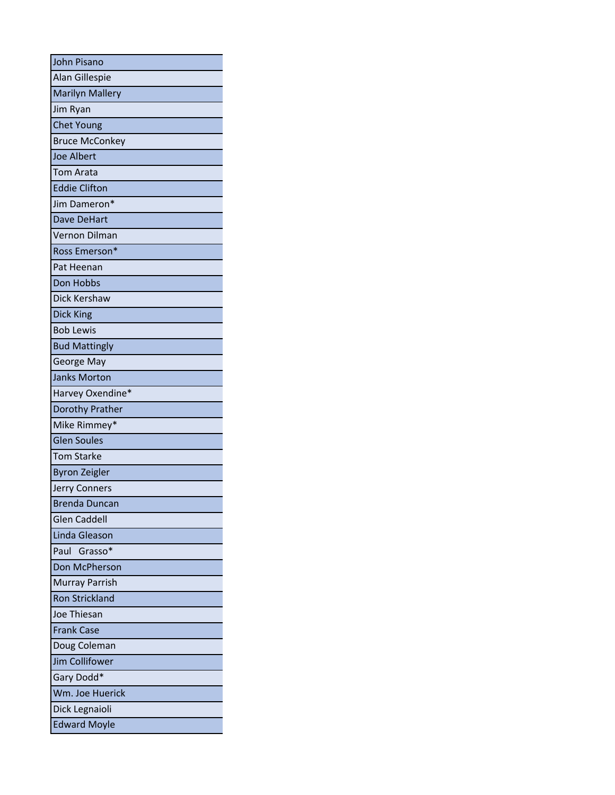| <b>John Pisano</b>     |
|------------------------|
| Alan Gillespie         |
| <b>Marilyn Mallery</b> |
| Jim Ryan               |
| <b>Chet Young</b>      |
| <b>Bruce McConkey</b>  |
| <b>Joe Albert</b>      |
| <b>Tom Arata</b>       |
| <b>Eddie Clifton</b>   |
| Jim Dameron*           |
| Dave DeHart            |
| Vernon Dilman          |
| Ross Emerson*          |
| Pat Heenan             |
| Don Hobbs              |
| Dick Kershaw           |
| Dick King              |
| <b>Bob Lewis</b>       |
| <b>Bud Mattingly</b>   |
| George May             |
| <b>Janks Morton</b>    |
| Harvey Oxendine*       |
| Dorothy Prather        |
| Mike Rimmey*           |
| <b>Glen Soules</b>     |
| <b>Tom Starke</b>      |
| <b>Byron Zeigler</b>   |
| Jerry Conners          |
| Brenda Duncan          |
| <b>Glen Caddell</b>    |
| Linda Gleason          |
| Paul Grasso*           |
| Don McPherson          |
| <b>Murray Parrish</b>  |
| <b>Ron Strickland</b>  |
| Joe Thiesan            |
| <b>Frank Case</b>      |
| Doug Coleman           |
| <b>Jim Collifower</b>  |
| Gary Dodd*             |
| Wm. Joe Huerick        |
| Dick Legnaioli         |
| <b>Edward Moyle</b>    |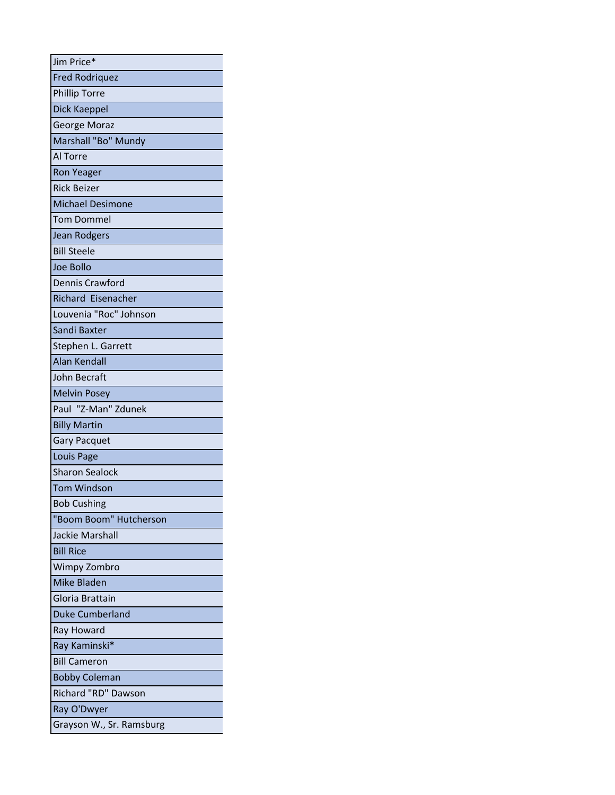| Jim Price*               |  |
|--------------------------|--|
| <b>Fred Rodriquez</b>    |  |
| <b>Phillip Torre</b>     |  |
| Dick Kaeppel             |  |
| George Moraz             |  |
| Marshall "Bo" Mundy      |  |
| Al Torre                 |  |
| <b>Ron Yeager</b>        |  |
| <b>Rick Beizer</b>       |  |
| <b>Michael Desimone</b>  |  |
| <b>Tom Dommel</b>        |  |
| Jean Rodgers             |  |
| <b>Bill Steele</b>       |  |
| Joe Bollo                |  |
| <b>Dennis Crawford</b>   |  |
| Richard Eisenacher       |  |
| Louvenia "Roc" Johnson   |  |
| Sandi Baxter             |  |
| Stephen L. Garrett       |  |
| <b>Alan Kendall</b>      |  |
| John Becraft             |  |
| <b>Melvin Posey</b>      |  |
| Paul "Z-Man" Zdunek      |  |
| <b>Billy Martin</b>      |  |
| <b>Gary Pacquet</b>      |  |
| Louis Page               |  |
| <b>Sharon Sealock</b>    |  |
| <b>Tom Windson</b>       |  |
| <b>Bob Cushing</b>       |  |
| "Boom Boom" Hutcherson   |  |
| Jackie Marshall          |  |
| <b>Bill Rice</b>         |  |
| <b>Wimpy Zombro</b>      |  |
| <b>Mike Bladen</b>       |  |
| Gloria Brattain          |  |
| <b>Duke Cumberland</b>   |  |
| Ray Howard               |  |
| Ray Kaminski*            |  |
| <b>Bill Cameron</b>      |  |
| <b>Bobby Coleman</b>     |  |
| Richard "RD" Dawson      |  |
| Ray O'Dwyer              |  |
| Grayson W., Sr. Ramsburg |  |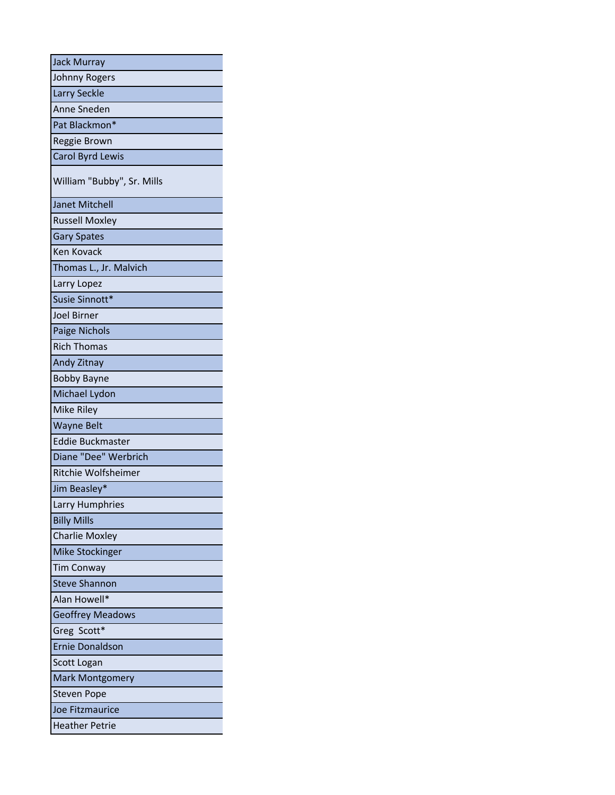| <b>Jack Murray</b>         |
|----------------------------|
| <b>Johnny Rogers</b>       |
| Larry Seckle               |
| Anne Sneden                |
| Pat Blackmon*              |
| Reggie Brown               |
| Carol Byrd Lewis           |
| William "Bubby", Sr. Mills |
| <b>Janet Mitchell</b>      |
| <b>Russell Moxley</b>      |
| <b>Gary Spates</b>         |
| <b>Ken Kovack</b>          |
| Thomas L., Jr. Malvich     |
| Larry Lopez                |
| Susie Sinnott*             |
| <b>Joel Birner</b>         |
| <b>Paige Nichols</b>       |
| <b>Rich Thomas</b>         |
| Andy Zitnay                |
| <b>Bobby Bayne</b>         |
| Michael Lydon              |
| Mike Riley                 |
| <b>Wayne Belt</b>          |
| <b>Eddie Buckmaster</b>    |
| Diane "Dee" Werbrich       |
| Ritchie Wolfsheimer        |
| Jim Beasley*               |
| Larry Humphries            |
| <b>Billy Mills</b>         |
| <b>Charlie Moxley</b>      |
| <b>Mike Stockinger</b>     |
| <b>Tim Conway</b>          |
| <b>Steve Shannon</b>       |
| Alan Howell*               |
| <b>Geoffrey Meadows</b>    |
| Greg Scott*                |
| <b>Ernie Donaldson</b>     |
| Scott Logan                |
| <b>Mark Montgomery</b>     |
| <b>Steven Pope</b>         |
| Joe Fitzmaurice            |
| <b>Heather Petrie</b>      |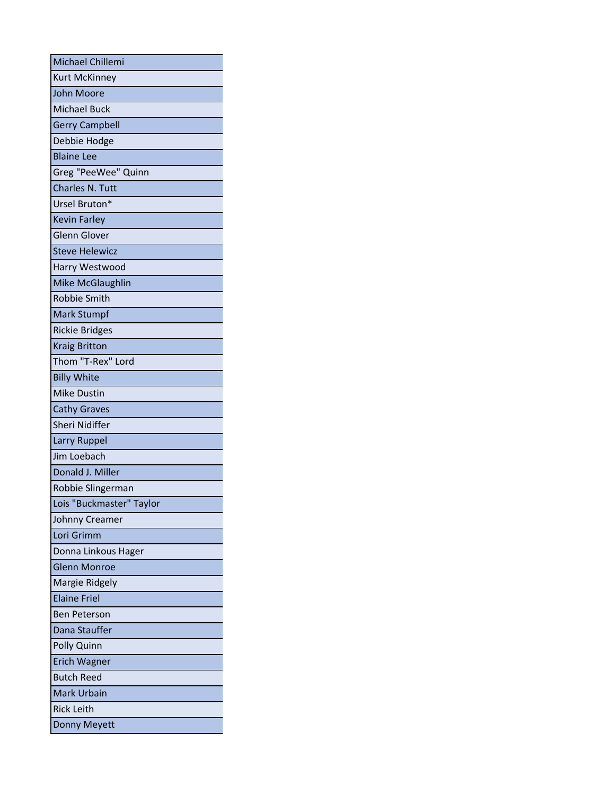| Michael Chillemi         |
|--------------------------|
| <b>Kurt McKinney</b>     |
| John Moore               |
| <b>Michael Buck</b>      |
| <b>Gerry Campbell</b>    |
| Debbie Hodge             |
| <b>Blaine Lee</b>        |
| Greg "PeeWee" Quinn      |
| Charles N. Tutt          |
| Ursel Bruton*            |
| <b>Kevin Farley</b>      |
| <b>Glenn Glover</b>      |
| <b>Steve Helewicz</b>    |
| Harry Westwood           |
| Mike McGlaughlin         |
| Robbie Smith             |
| <b>Mark Stumpf</b>       |
| <b>Rickie Bridges</b>    |
| <b>Kraig Britton</b>     |
| Thom "T-Rex" Lord        |
| <b>Billy White</b>       |
| <b>Mike Dustin</b>       |
| <b>Cathy Graves</b>      |
| Sheri Nidiffer           |
| Larry Ruppel             |
| Jim Loebach              |
| Donald J. Miller         |
| Robbie Slingerman        |
| Lois "Buckmaster" Taylor |
| Johnny Creamer           |
| Lori Grimm               |
| Donna Linkous Hager      |
| <b>Glenn Monroe</b>      |
| Margie Ridgely           |
| <b>Elaine Friel</b>      |
| <b>Ben Peterson</b>      |
| Dana Stauffer            |
| Polly Quinn              |
| <b>Erich Wagner</b>      |
| <b>Butch Reed</b>        |
| <b>Mark Urbain</b>       |
| <b>Rick Leith</b>        |
| Donny Meyett             |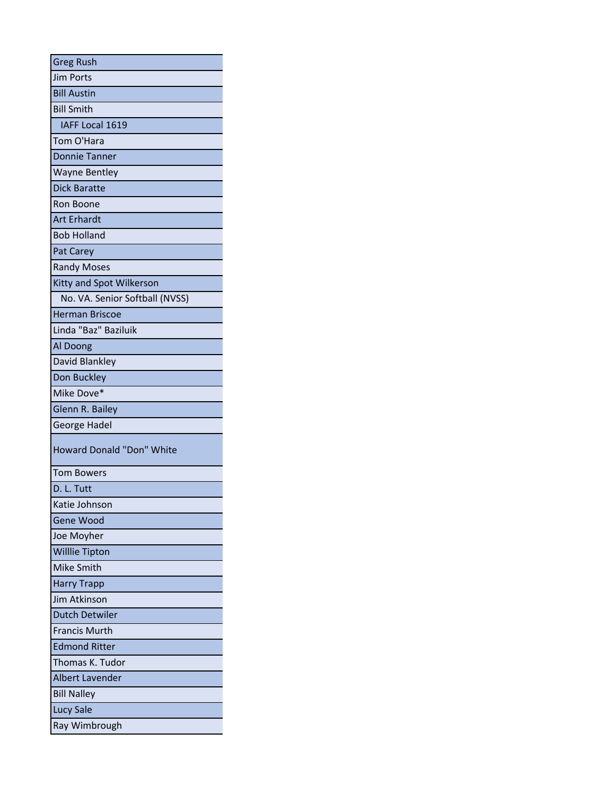| <b>Greg Rush</b>                 |
|----------------------------------|
| <b>Jim Ports</b>                 |
| <b>Bill Austin</b>               |
| <b>Bill Smith</b>                |
| IAFF Local 1619                  |
| Tom O'Hara                       |
| <b>Donnie Tanner</b>             |
| <b>Wayne Bentley</b>             |
| <b>Dick Baratte</b>              |
| Ron Boone                        |
| <b>Art Erhardt</b>               |
| <b>Bob Holland</b>               |
| Pat Carey                        |
| <b>Randy Moses</b>               |
| Kitty and Spot Wilkerson         |
| No. VA. Senior Softball (NVSS)   |
| <b>Herman Briscoe</b>            |
| Linda "Baz" Baziluik             |
| Al Doong                         |
| David Blankley                   |
| Don Buckley                      |
| Mike Dove*                       |
| Glenn R. Bailey                  |
| George Hadel                     |
| <b>Howard Donald "Don" White</b> |
| <b>Tom Bowers</b>                |
| D. L. Tutt                       |
| Katie Johnson                    |
| Gene Wood                        |
| Joe Moyher                       |
| <b>Willlie Tipton</b>            |
| Mike Smith                       |
| <b>Harry Trapp</b>               |
| Jim Atkinson                     |
| <b>Dutch Detwiler</b>            |
| <b>Francis Murth</b>             |
| <b>Edmond Ritter</b>             |
| Thomas K. Tudor                  |
| <b>Albert Lavender</b>           |
| <b>Bill Nalley</b>               |
| <b>Lucy Sale</b>                 |
| Ray Wimbrough                    |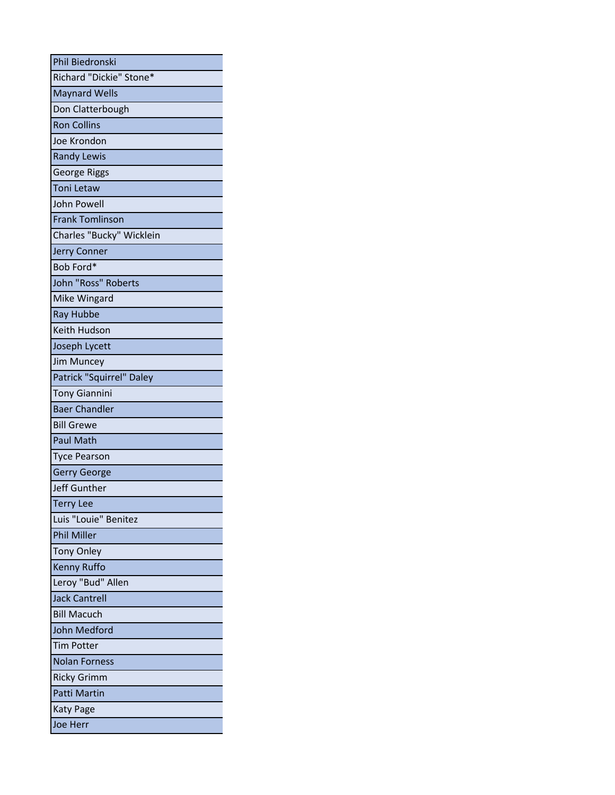| Phil Biedronski          |
|--------------------------|
| Richard "Dickie" Stone*  |
| <b>Maynard Wells</b>     |
| Don Clatterbough         |
| <b>Ron Collins</b>       |
| Joe Krondon              |
| <b>Randy Lewis</b>       |
| <b>George Riggs</b>      |
| <b>Toni Letaw</b>        |
| <b>John Powell</b>       |
| <b>Frank Tomlinson</b>   |
| Charles "Bucky" Wicklein |
| <b>Jerry Conner</b>      |
| Bob Ford*                |
| John "Ross" Roberts      |
| Mike Wingard             |
| Ray Hubbe                |
| Keith Hudson             |
| Joseph Lycett            |
| Jim Muncey               |
| Patrick "Squirrel" Daley |
| <b>Tony Giannini</b>     |
| <b>Baer Chandler</b>     |
| <b>Bill Grewe</b>        |
| <b>Paul Math</b>         |
| <b>Tyce Pearson</b>      |
| <b>Gerry George</b>      |
| Jeff Gunther             |
| <b>Terry Lee</b>         |
| Luis "Louie" Benitez     |
| <b>Phil Miller</b>       |
| <b>Tony Onley</b>        |
| <b>Kenny Ruffo</b>       |
| Leroy "Bud" Allen        |
| <b>Jack Cantrell</b>     |
| <b>Bill Macuch</b>       |
| <b>John Medford</b>      |
| <b>Tim Potter</b>        |
| <b>Nolan Forness</b>     |
| <b>Ricky Grimm</b>       |
| <b>Patti Martin</b>      |
| <b>Katy Page</b>         |
| Joe Herr                 |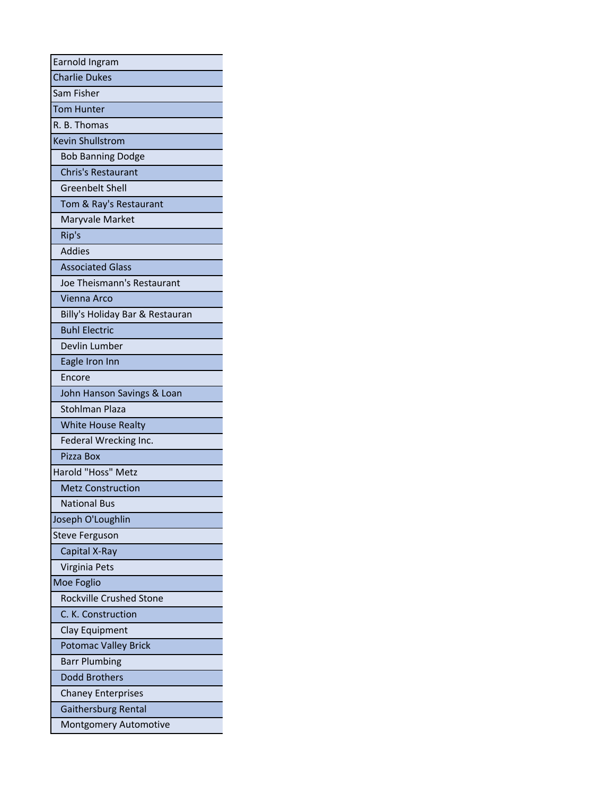| Earnold Ingram                  |
|---------------------------------|
| <b>Charlie Dukes</b>            |
| Sam Fisher                      |
| <b>Tom Hunter</b>               |
| R. B. Thomas                    |
| <b>Kevin Shullstrom</b>         |
| <b>Bob Banning Dodge</b>        |
| <b>Chris's Restaurant</b>       |
| <b>Greenbelt Shell</b>          |
| Tom & Ray's Restaurant          |
| Maryvale Market                 |
| Rip's                           |
| <b>Addies</b>                   |
| <b>Associated Glass</b>         |
| Joe Theismann's Restaurant      |
| <b>Vienna Arco</b>              |
| Billy's Holiday Bar & Restauran |
| <b>Buhl Electric</b>            |
| Devlin Lumber                   |
| Eagle Iron Inn                  |
| Encore                          |
| John Hanson Savings & Loan      |
| <b>Stohlman Plaza</b>           |
| <b>White House Realty</b>       |
| Federal Wrecking Inc.           |
| Pizza Box                       |
| Harold "Hoss" Metz              |
| <b>Metz Construction</b>        |
| National Bus                    |
| Joseph O'Loughlin               |
| <b>Steve Ferguson</b>           |
| Capital X-Ray                   |
| Virginia Pets                   |
| Moe Foglio                      |
| <b>Rockville Crushed Stone</b>  |
| C. K. Construction              |
| Clay Equipment                  |
| <b>Potomac Valley Brick</b>     |
| <b>Barr Plumbing</b>            |
| Dodd Brothers                   |
| <b>Chaney Enterprises</b>       |
| Gaithersburg Rental             |
| <b>Montgomery Automotive</b>    |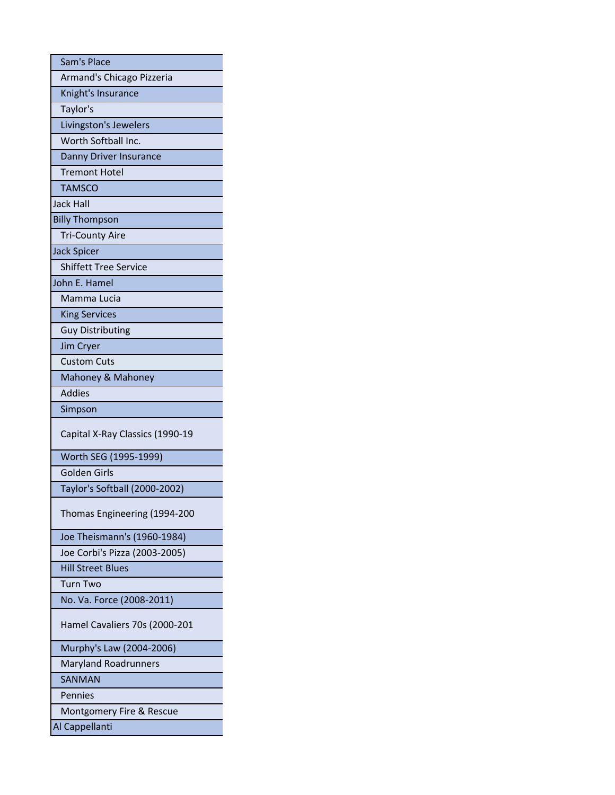| Sam's Place                     |
|---------------------------------|
| Armand's Chicago Pizzeria       |
| Knight's Insurance              |
| Taylor's                        |
| Livingston's Jewelers           |
| Worth Softball Inc.             |
| Danny Driver Insurance          |
| <b>Tremont Hotel</b>            |
| <b>TAMSCO</b>                   |
| <b>Jack Hall</b>                |
| <b>Billy Thompson</b>           |
| <b>Tri-County Aire</b>          |
| <b>Jack Spicer</b>              |
| <b>Shiffett Tree Service</b>    |
| John E. Hamel                   |
| Mamma Lucia                     |
| <b>King Services</b>            |
| <b>Guy Distributing</b>         |
| Jim Cryer                       |
| <b>Custom Cuts</b>              |
| Mahoney & Mahoney               |
| <b>Addies</b>                   |
| Simpson                         |
| Capital X-Ray Classics (1990-19 |
| Worth SEG (1995-1999)           |
| Golden Girls                    |
| Taylor's Softball (2000-2002)   |
| Thomas Engineering (1994-200    |
| Joe Theismann's (1960-1984)     |
| Joe Corbi's Pizza (2003-2005)   |
| <b>Hill Street Blues</b>        |
| Turn Two                        |
| No. Va. Force (2008-2011)       |
| Hamel Cavaliers 70s (2000-201   |
| Murphy's Law (2004-2006)        |
| <b>Maryland Roadrunners</b>     |
| <b>SANMAN</b>                   |
| Pennies                         |
| Montgomery Fire & Rescue        |
| Al Cappellanti                  |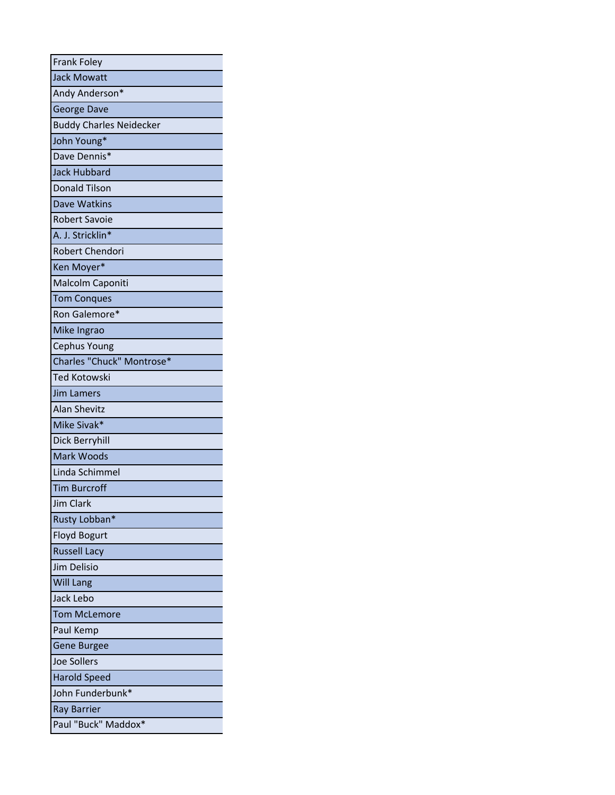| <b>Frank Foley</b>             |
|--------------------------------|
| <b>Jack Mowatt</b>             |
| Andy Anderson*                 |
| George Dave                    |
| <b>Buddy Charles Neidecker</b> |
| John Young*                    |
| Dave Dennis*                   |
| <b>Jack Hubbard</b>            |
| <b>Donald Tilson</b>           |
| <b>Dave Watkins</b>            |
| <b>Robert Savoie</b>           |
| A. J. Stricklin*               |
| <b>Robert Chendori</b>         |
| Ken Moyer*                     |
| Malcolm Caponiti               |
| <b>Tom Conques</b>             |
| Ron Galemore*                  |
| Mike Ingrao                    |
| <b>Cephus Young</b>            |
| Charles "Chuck" Montrose*      |
| <b>Ted Kotowski</b>            |
| <b>Jim Lamers</b>              |
| <b>Alan Shevitz</b>            |
| Mike Sivak*                    |
| Dick Berryhill                 |
| Mark Woods                     |
| Linda Schimmel                 |
| <b>Tim Burcroff</b>            |
| Jim Clark                      |
| Rusty Lobban*                  |
| <b>Floyd Bogurt</b>            |
| <b>Russell Lacy</b>            |
| Jim Delisio                    |
| <b>Will Lang</b>               |
| Jack Lebo                      |
| <b>Tom McLemore</b>            |
| Paul Kemp                      |
| <b>Gene Burgee</b>             |
| <b>Joe Sollers</b>             |
| <b>Harold Speed</b>            |
| John Funderbunk*               |
| <b>Ray Barrier</b>             |
| Paul "Buck" Maddox*            |